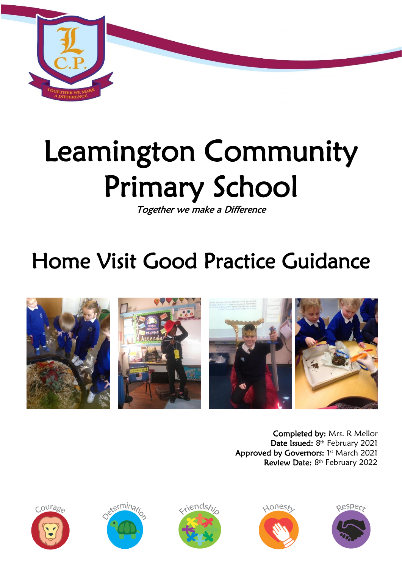

# Leamington Community Primary School

Together we make a Difference

## Home Visit Good Practice Guidance



Completed by: Mrs. R Mellor Date Issued: 8<sup>th</sup> February 2021 Approved by Governors: 1st March 2021 Review Date: 8<sup>th</sup> February 2022









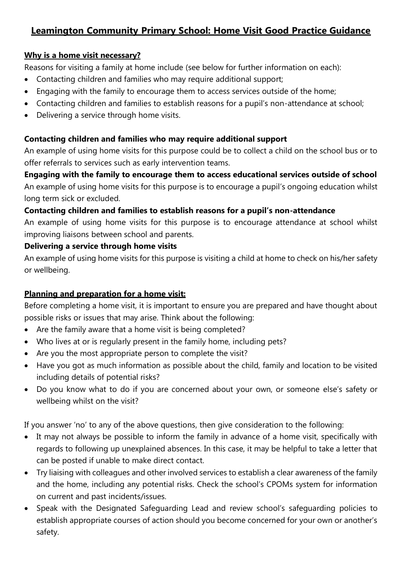### **Leamington Community Primary School: Home Visit Good Practice Guidance**

#### **Why is a home visit necessary?**

Reasons for visiting a family at home include (see below for further information on each):

- Contacting children and families who may require additional support;
- Engaging with the family to encourage them to access services outside of the home;
- Contacting children and families to establish reasons for a pupil's non-attendance at school;
- Delivering a service through home visits.

#### **Contacting children and families who may require additional support**

An example of using home visits for this purpose could be to collect a child on the school bus or to offer referrals to services such as early intervention teams.

**Engaging with the family to encourage them to access educational services outside of school**  An example of using home visits for this purpose is to encourage a pupil's ongoing education whilst long term sick or excluded.

#### **Contacting children and families to establish reasons for a pupil's non-attendance**

An example of using home visits for this purpose is to encourage attendance at school whilst improving liaisons between school and parents.

#### **Delivering a service through home visits**

An example of using home visits for this purpose is visiting a child at home to check on his/her safety or wellbeing.

#### **Planning and preparation for a home visit:**

Before completing a home visit, it is important to ensure you are prepared and have thought about possible risks or issues that may arise. Think about the following:

- Are the family aware that a home visit is being completed?
- Who lives at or is regularly present in the family home, including pets?
- Are you the most appropriate person to complete the visit?
- Have you got as much information as possible about the child, family and location to be visited including details of potential risks?
- Do you know what to do if you are concerned about your own, or someone else's safety or wellbeing whilst on the visit?

If you answer 'no' to any of the above questions, then give consideration to the following:

- It may not always be possible to inform the family in advance of a home visit, specifically with regards to following up unexplained absences. In this case, it may be helpful to take a letter that can be posted if unable to make direct contact.
- Try liaising with colleagues and other involved services to establish a clear awareness of the family and the home, including any potential risks. Check the school's CPOMs system for information on current and past incidents/issues.
- Speak with the Designated Safeguarding Lead and review school's safeguarding policies to establish appropriate courses of action should you become concerned for your own or another's safety.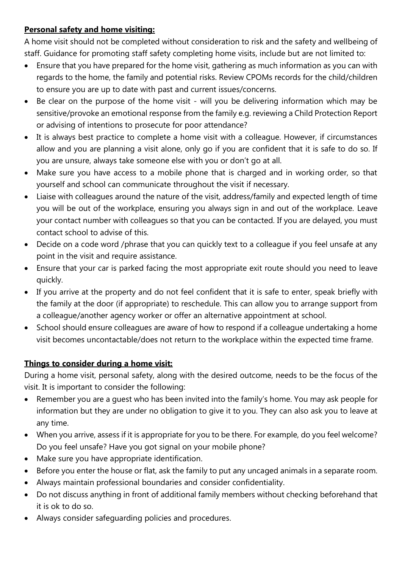#### **Personal safety and home visiting:**

A home visit should not be completed without consideration to risk and the safety and wellbeing of staff. Guidance for promoting staff safety completing home visits, include but are not limited to:

- Ensure that you have prepared for the home visit, gathering as much information as you can with regards to the home, the family and potential risks. Review CPOMs records for the child/children to ensure you are up to date with past and current issues/concerns.
- Be clear on the purpose of the home visit will you be delivering information which may be sensitive/provoke an emotional response from the family e.g. reviewing a Child Protection Report or advising of intentions to prosecute for poor attendance?
- It is always best practice to complete a home visit with a colleague. However, if circumstances allow and you are planning a visit alone, only go if you are confident that it is safe to do so. If you are unsure, always take someone else with you or don't go at all.
- Make sure you have access to a mobile phone that is charged and in working order, so that yourself and school can communicate throughout the visit if necessary.
- Liaise with colleagues around the nature of the visit, address/family and expected length of time you will be out of the workplace, ensuring you always sign in and out of the workplace. Leave your contact number with colleagues so that you can be contacted. If you are delayed, you must contact school to advise of this.
- Decide on a code word /phrase that you can quickly text to a colleague if you feel unsafe at any point in the visit and require assistance.
- Ensure that your car is parked facing the most appropriate exit route should you need to leave quickly.
- If you arrive at the property and do not feel confident that it is safe to enter, speak briefly with the family at the door (if appropriate) to reschedule. This can allow you to arrange support from a colleague/another agency worker or offer an alternative appointment at school.
- School should ensure colleagues are aware of how to respond if a colleague undertaking a home visit becomes uncontactable/does not return to the workplace within the expected time frame.

#### **Things to consider during a home visit:**

During a home visit, personal safety, along with the desired outcome, needs to be the focus of the visit. It is important to consider the following:

- Remember you are a guest who has been invited into the family's home. You may ask people for information but they are under no obligation to give it to you. They can also ask you to leave at any time.
- When you arrive, assess if it is appropriate for you to be there. For example, do you feel welcome? Do you feel unsafe? Have you got signal on your mobile phone?
- Make sure you have appropriate identification.
- Before you enter the house or flat, ask the family to put any uncaged animals in a separate room.
- Always maintain professional boundaries and consider confidentiality.
- Do not discuss anything in front of additional family members without checking beforehand that it is ok to do so.
- Always consider safeguarding policies and procedures.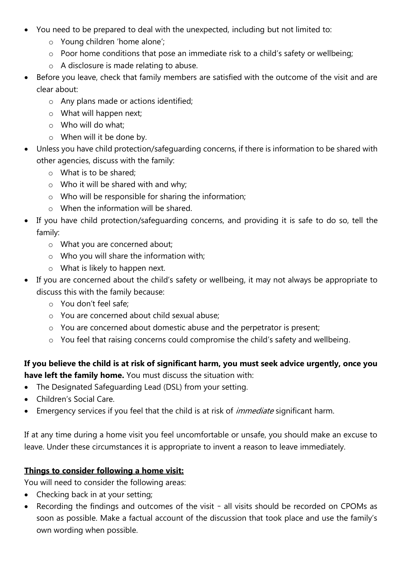- You need to be prepared to deal with the unexpected, including but not limited to:
	- o Young children 'home alone';
	- o Poor home conditions that pose an immediate risk to a child's safety or wellbeing;
	- o A disclosure is made relating to abuse.
- Before you leave, check that family members are satisfied with the outcome of the visit and are clear about:
	- o Any plans made or actions identified;
	- o What will happen next;
	- o Who will do what;
	- o When will it be done by.
- Unless you have child protection/safeguarding concerns, if there is information to be shared with other agencies, discuss with the family:
	- o What is to be shared;
	- o Who it will be shared with and why;
	- o Who will be responsible for sharing the information;
	- o When the information will be shared.
- If you have child protection/safeguarding concerns, and providing it is safe to do so, tell the family:
	- o What you are concerned about;
	- o Who you will share the information with;
	- o What is likely to happen next.
- If you are concerned about the child's safety or wellbeing, it may not always be appropriate to discuss this with the family because:
	- o You don't feel safe;
	- o You are concerned about child sexual abuse;
	- o You are concerned about domestic abuse and the perpetrator is present;
	- o You feel that raising concerns could compromise the child's safety and wellbeing.

#### **If you believe the child is at risk of significant harm, you must seek advice urgently, once you have left the family home.** You must discuss the situation with:

- The Designated Safeguarding Lead (DSL) from your setting.
- Children's Social Care.
- Emergency services if you feel that the child is at risk of *immediate* significant harm.

If at any time during a home visit you feel uncomfortable or unsafe, you should make an excuse to leave. Under these circumstances it is appropriate to invent a reason to leave immediately.

#### **Things to consider following a home visit:**

You will need to consider the following areas:

- Checking back in at your setting;
- Recording the findings and outcomes of the visit all visits should be recorded on CPOMs as soon as possible. Make a factual account of the discussion that took place and use the family's own wording when possible.